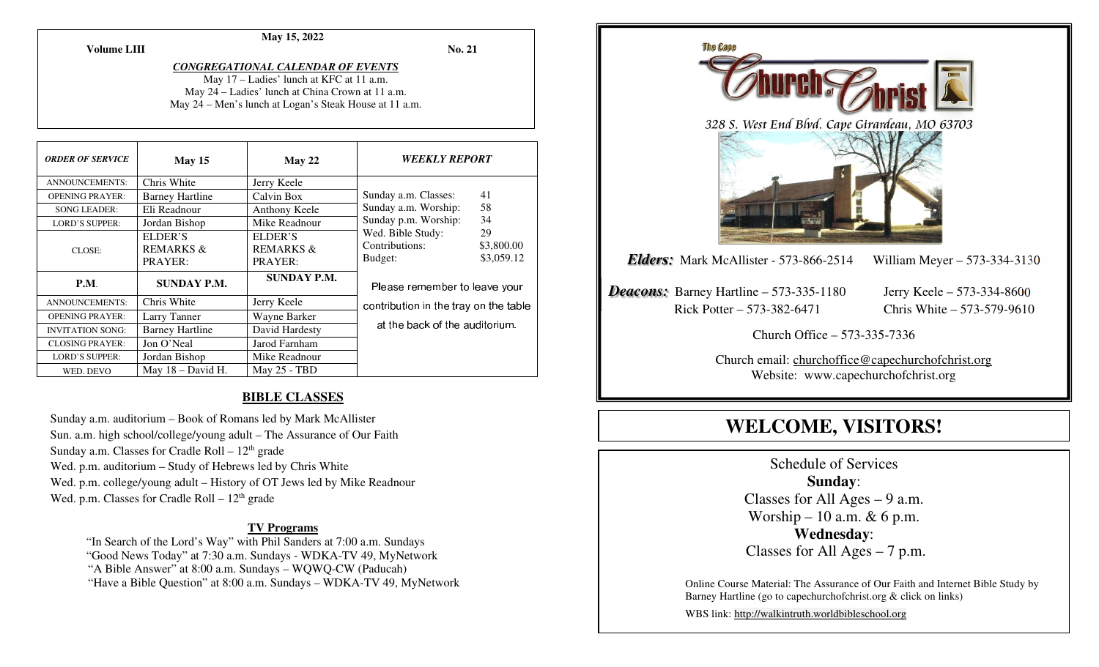**May 15, 2022** 

**No. 21** 

#### *CONGREGATIONAL CALENDAR OF EVENTS* May 17 – Ladies' lunch at KFC at 11 a.m. May 24 – Ladies' lunch at China Crown at 11 a.m.

May 24 – Men's lunch at Logan's Steak House at 11 a.m.

| <b>ORDER OF SERVICE</b> | May 15                                     | May 22                                     | <i><b>WEEKLY REPORT</b></i>                    |                                |
|-------------------------|--------------------------------------------|--------------------------------------------|------------------------------------------------|--------------------------------|
| <b>ANNOUNCEMENTS:</b>   | Chris White                                | Jerry Keele                                |                                                |                                |
| <b>OPENING PRAYER:</b>  | <b>Barney Hartline</b>                     | Calvin Box                                 | Sunday a.m. Classes:                           | 41                             |
| <b>SONG LEADER:</b>     | Eli Readnour                               | Anthony Keele                              | Sunday a.m. Worship:                           | 58                             |
| <b>LORD'S SUPPER:</b>   | Jordan Bishop                              | Mike Readnour                              | Sunday p.m. Worship:                           | 34                             |
| CLOSE:                  | ELDER'S<br><b>REMARKS &amp;</b><br>PRAYER: | ELDER'S<br><b>REMARKS &amp;</b><br>PRAYER: | Wed. Bible Study:<br>Contributions:<br>Budget: | 29<br>\$3,800.00<br>\$3,059.12 |
| <b>P.M.</b>             | <b>SUNDAY P.M.</b>                         | <b>SUNDAY P.M.</b>                         | Please remember to leave your                  |                                |
| <b>ANNOUNCEMENTS:</b>   | Chris White                                | Jerry Keele                                | contribution in the tray on the table          |                                |
| <b>OPENING PRAYER:</b>  | Larry Tanner                               | Wayne Barker                               |                                                |                                |
| <b>INVITATION SONG:</b> | <b>Barney Hartline</b>                     | David Hardesty                             | at the back of the auditorium.                 |                                |
| <b>CLOSING PRAYER:</b>  | Jon O'Neal                                 | Jarod Farnham                              |                                                |                                |
| <b>LORD'S SUPPER:</b>   | Jordan Bishop                              | Mike Readnour                              |                                                |                                |
| WED. DEVO               | May $18 - David H$ .                       | <b>May 25 - TBD</b>                        |                                                |                                |

#### **BIBLE CLASSES**

Sunday a.m. auditorium – Book of Romans led by Mark McAllister Sun. a.m. high school/college/young adult – The Assurance of Our Faith Sunday a.m. Classes for Cradle Roll  $-12<sup>th</sup>$  grade Wed. p.m. auditorium – Study of Hebrews led by Chris White Wed. p.m. college/young adult – History of OT Jews led by Mike Readnour Wed. p.m. Classes for Cradle Roll  $-12<sup>th</sup>$  grade

#### **TV Programs**

 "In Search of the Lord's Way" with Phil Sanders at 7:00 a.m. Sundays "Good News Today" at 7:30 a.m. Sundays - WDKA-TV 49, MyNetwork "A Bible Answer" at 8:00 a.m. Sundays – WQWQ-CW (Paducah) "Have a Bible Question" at 8:00 a.m. Sundays – WDKA-TV 49, MyNetwork



# **WELCOME, VISITORS!**

Schedule of Services **Sunday**: Classes for All Ages  $-9$  a.m. Worship – 10 a.m. & 6 p.m. **Wednesday**: Classes for All Ages – 7 p.m.

Online Course Material: The Assurance of Our Faith and Internet Bible Study by Barney Hartline (go to capechurchofchrist.org & click on links)

WBS link: http://walkintruth.worldbibleschool.org

#### **Volume LIII**